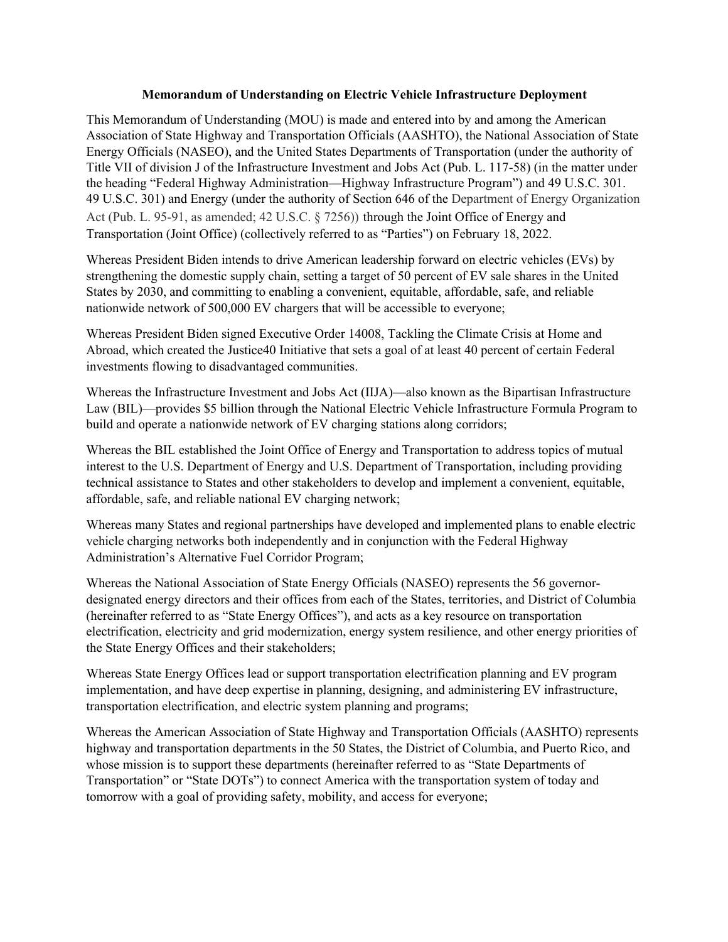### **Memorandum of Understanding on Electric Vehicle Infrastructure Deployment**

This Memorandum of Understanding (MOU) is made and entered into by and among the American Association of State Highway and Transportation Officials (AASHTO), the National Association of State Energy Officials (NASEO), and the United States Departments of Transportation (under the authority of Title VII of division J of the Infrastructure Investment and Jobs Act (Pub. L. 117-58) (in the matter under the heading "Federal Highway Administration—Highway Infrastructure Program") and 49 U.S.C. 301. 49 U.S.C. 301) and Energy (under the authority of Section 646 of the Department of Energy Organization Act (Pub. L. 95-91, as amended; 42 U.S.C. § 7256)) through the Joint Office of Energy and Transportation (Joint Office) (collectively referred to as "Parties") on February 18, 2022.

Whereas President Biden intends to drive American leadership forward on electric vehicles (EVs) by strengthening the domestic supply chain, setting a target of 50 percent of EV sale shares in the United States by 2030, and committing to enabling a convenient, equitable, affordable, safe, and reliable nationwide network of 500,000 EV chargers that will be accessible to everyone;

Whereas President Biden signed Executive Order 14008, Tackling the Climate Crisis at Home and Abroad, which created the Justice40 Initiative that sets a goal of at least 40 percent of certain Federal investments flowing to disadvantaged communities.

Whereas the Infrastructure Investment and Jobs Act (IIJA)—also known as the Bipartisan Infrastructure Law (BIL)—provides \$5 billion through the National Electric Vehicle Infrastructure Formula Program to build and operate a nationwide network of EV charging stations along corridors;

Whereas the BIL established the Joint Office of Energy and Transportation to address topics of mutual interest to the U.S. Department of Energy and U.S. Department of Transportation, including providing technical assistance to States and other stakeholders to develop and implement a convenient, equitable, affordable, safe, and reliable national EV charging network;

Whereas many States and regional partnerships have developed and implemented plans to enable electric vehicle charging networks both independently and in conjunction with the Federal Highway Administration's Alternative Fuel Corridor Program;

Whereas the National Association of State Energy Officials (NASEO) represents the 56 governordesignated energy directors and their offices from each of the States, territories, and District of Columbia (hereinafter referred to as "State Energy Offices"), and acts as a key resource on transportation electrification, electricity and grid modernization, energy system resilience, and other energy priorities of the State Energy Offices and their stakeholders;

Whereas State Energy Offices lead or support transportation electrification planning and EV program implementation, and have deep expertise in planning, designing, and administering EV infrastructure, transportation electrification, and electric system planning and programs;

Whereas the American Association of State Highway and Transportation Officials (AASHTO) represents highway and transportation departments in the 50 States, the District of Columbia, and Puerto Rico, and whose mission is to support these departments (hereinafter referred to as "State Departments of Transportation" or "State DOTs") to connect America with the transportation system of today and tomorrow with a goal of providing safety, mobility, and access for everyone;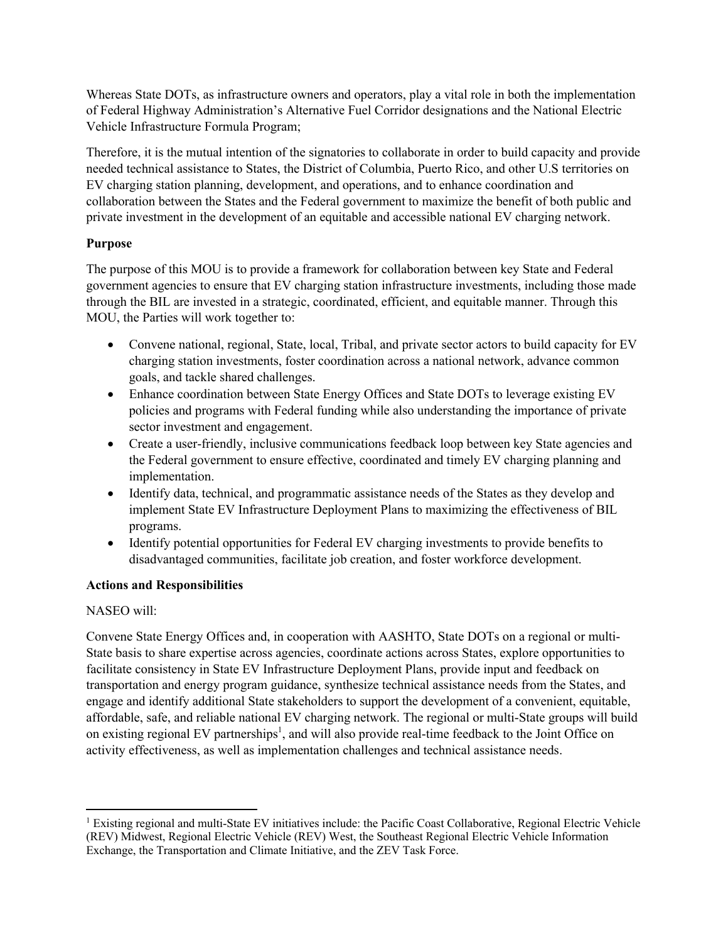Whereas State DOTs, as infrastructure owners and operators, play a vital role in both the implementation of Federal Highway Administration's Alternative Fuel Corridor designations and the National Electric Vehicle Infrastructure Formula Program;

Therefore, it is the mutual intention of the signatories to collaborate in order to build capacity and provide needed technical assistance to States, the District of Columbia, Puerto Rico, and other U.S territories on EV charging station planning, development, and operations, and to enhance coordination and collaboration between the States and the Federal government to maximize the benefit of both public and private investment in the development of an equitable and accessible national EV charging network.

# **Purpose**

The purpose of this MOU is to provide a framework for collaboration between key State and Federal government agencies to ensure that EV charging station infrastructure investments, including those made through the BIL are invested in a strategic, coordinated, efficient, and equitable manner. Through this MOU, the Parties will work together to:

- Convene national, regional, State, local, Tribal, and private sector actors to build capacity for EV charging station investments, foster coordination across a national network, advance common goals, and tackle shared challenges.
- Enhance coordination between State Energy Offices and State DOTs to leverage existing EV policies and programs with Federal funding while also understanding the importance of private sector investment and engagement.
- Create a user-friendly, inclusive communications feedback loop between key State agencies and the Federal government to ensure effective, coordinated and timely EV charging planning and implementation.
- Identify data, technical, and programmatic assistance needs of the States as they develop and implement State EV Infrastructure Deployment Plans to maximizing the effectiveness of BIL programs.
- Identify potential opportunities for Federal EV charging investments to provide benefits to disadvantaged communities, facilitate job creation, and foster workforce development.

### **Actions and Responsibilities**

### NASEO will:

Convene State Energy Offices and, in cooperation with AASHTO, State DOTs on a regional or multi-State basis to share expertise across agencies, coordinate actions across States, explore opportunities to facilitate consistency in State EV Infrastructure Deployment Plans, provide input and feedback on transportation and energy program guidance, synthesize technical assistance needs from the States, and engage and identify additional State stakeholders to support the development of a convenient, equitable, affordable, safe, and reliable national EV charging network. The regional or multi-State groups will build on existing regional EV partnerships<sup>1</sup>, and will also provide real-time feedback to the Joint Office on activity effectiveness, as well as implementation challenges and technical assistance needs.

<sup>1</sup> Existing regional and multi-State EV initiatives include: the Pacific Coast Collaborative, Regional Electric Vehicle (REV) Midwest, Regional Electric Vehicle (REV) West, the Southeast Regional Electric Vehicle Information Exchange, the Transportation and Climate Initiative, and the ZEV Task Force.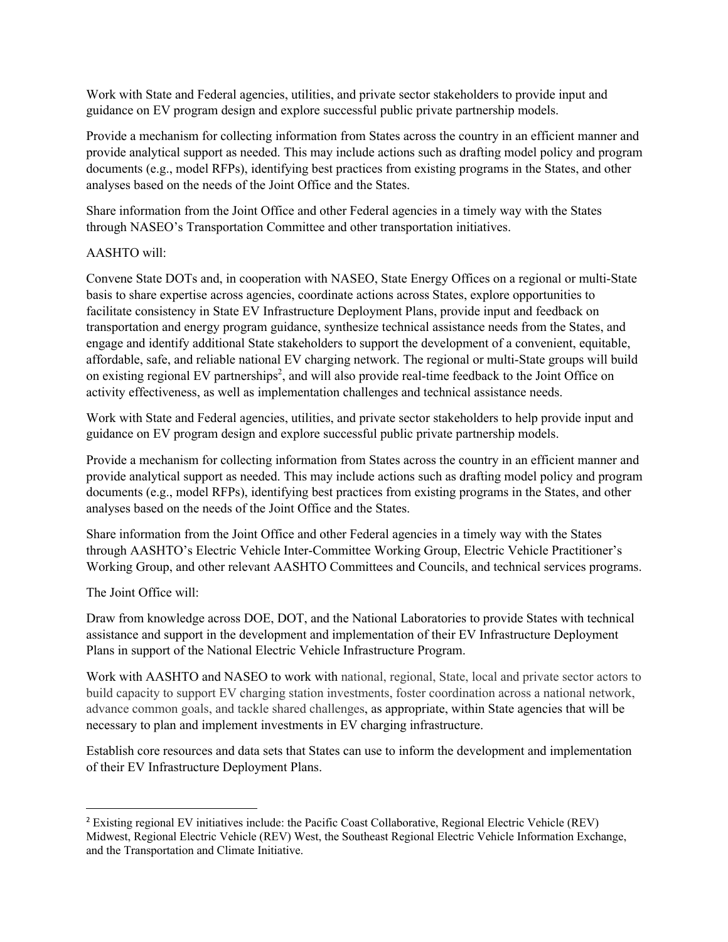Work with State and Federal agencies, utilities, and private sector stakeholders to provide input and guidance on EV program design and explore successful public private partnership models.

Provide a mechanism for collecting information from States across the country in an efficient manner and provide analytical support as needed. This may include actions such as drafting model policy and program documents (e.g., model RFPs), identifying best practices from existing programs in the States, and other analyses based on the needs of the Joint Office and the States.

Share information from the Joint Office and other Federal agencies in a timely way with the States through NASEO's Transportation Committee and other transportation initiatives.

## AASHTO will:

Convene State DOTs and, in cooperation with NASEO, State Energy Offices on a regional or multi-State basis to share expertise across agencies, coordinate actions across States, explore opportunities to facilitate consistency in State EV Infrastructure Deployment Plans, provide input and feedback on transportation and energy program guidance, synthesize technical assistance needs from the States, and engage and identify additional State stakeholders to support the development of a convenient, equitable, affordable, safe, and reliable national EV charging network. The regional or multi-State groups will build on existing regional EV partnerships<sup>2</sup>, and will also provide real-time feedback to the Joint Office on activity effectiveness, as well as implementation challenges and technical assistance needs.

Work with State and Federal agencies, utilities, and private sector stakeholders to help provide input and guidance on EV program design and explore successful public private partnership models.

Provide a mechanism for collecting information from States across the country in an efficient manner and provide analytical support as needed. This may include actions such as drafting model policy and program documents (e.g., model RFPs), identifying best practices from existing programs in the States, and other analyses based on the needs of the Joint Office and the States.

Share information from the Joint Office and other Federal agencies in a timely way with the States through AASHTO's Electric Vehicle Inter-Committee Working Group, Electric Vehicle Practitioner's Working Group, and other relevant AASHTO Committees and Councils, and technical services programs.

# The Joint Office will:

Draw from knowledge across DOE, DOT, and the National Laboratories to provide States with technical assistance and support in the development and implementation of their EV Infrastructure Deployment Plans in support of the National Electric Vehicle Infrastructure Program.

Work with AASHTO and NASEO to work with national, regional, State, local and private sector actors to build capacity to support EV charging station investments, foster coordination across a national network, advance common goals, and tackle shared challenges, as appropriate, within State agencies that will be necessary to plan and implement investments in EV charging infrastructure.

Establish core resources and data sets that States can use to inform the development and implementation of their EV Infrastructure Deployment Plans.

<sup>2</sup> Existing regional EV initiatives include: the Pacific Coast Collaborative, Regional Electric Vehicle (REV) Midwest, Regional Electric Vehicle (REV) West, the Southeast Regional Electric Vehicle Information Exchange, and the Transportation and Climate Initiative.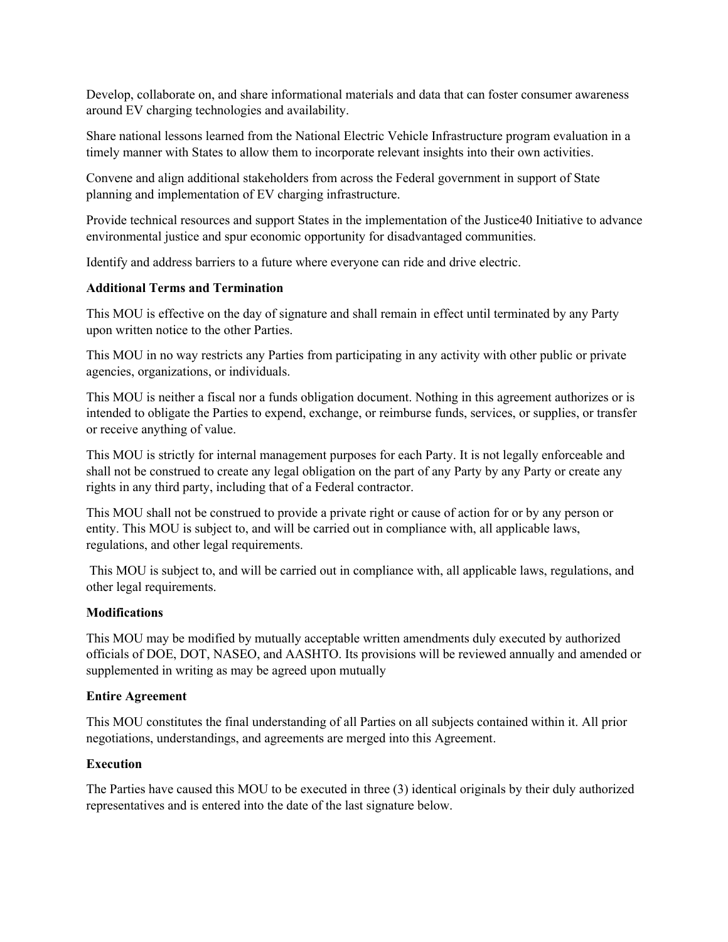Develop, collaborate on, and share informational materials and data that can foster consumer awareness around EV charging technologies and availability.

Share national lessons learned from the National Electric Vehicle Infrastructure program evaluation in a timely manner with States to allow them to incorporate relevant insights into their own activities.

Convene and align additional stakeholders from across the Federal government in support of State planning and implementation of EV charging infrastructure.

Provide technical resources and support States in the implementation of the Justice40 Initiative to advance environmental justice and spur economic opportunity for disadvantaged communities.

Identify and address barriers to a future where everyone can ride and drive electric.

### **Additional Terms and Termination**

This MOU is effective on the day of signature and shall remain in effect until terminated by any Party upon written notice to the other Parties.

This MOU in no way restricts any Parties from participating in any activity with other public or private agencies, organizations, or individuals.

This MOU is neither a fiscal nor a funds obligation document. Nothing in this agreement authorizes or is intended to obligate the Parties to expend, exchange, or reimburse funds, services, or supplies, or transfer or receive anything of value.

This MOU is strictly for internal management purposes for each Party. It is not legally enforceable and shall not be construed to create any legal obligation on the part of any Party by any Party or create any rights in any third party, including that of a Federal contractor.

This MOU shall not be construed to provide a private right or cause of action for or by any person or entity. This MOU is subject to, and will be carried out in compliance with, all applicable laws, regulations, and other legal requirements.

This MOU is subject to, and will be carried out in compliance with, all applicable laws, regulations, and other legal requirements.

#### **Modifications**

This MOU may be modified by mutually acceptable written amendments duly executed by authorized officials of DOE, DOT, NASEO, and AASHTO. Its provisions will be reviewed annually and amended or supplemented in writing as may be agreed upon mutually

#### **Entire Agreement**

This MOU constitutes the final understanding of all Parties on all subjects contained within it. All prior negotiations, understandings, and agreements are merged into this Agreement.

#### **Execution**

The Parties have caused this MOU to be executed in three (3) identical originals by their duly authorized representatives and is entered into the date of the last signature below.